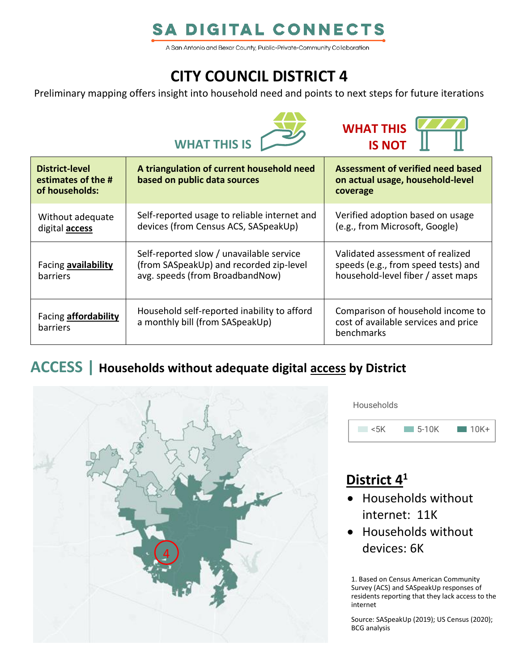# **SA DIGITAL CONNECTS**

A San Antonio and Bexar County, Public-Private-Community Collaboration

# **CITY COUNCIL DISTRICT 4**

Preliminary mapping offers insight into household need and points to next steps for future iterations





| <b>District-level</b><br>estimates of the #<br>of households: | A triangulation of current household need<br>based on public data sources                                              | Assessment of verified need based<br>on actual usage, household-level<br>coverage                             |
|---------------------------------------------------------------|------------------------------------------------------------------------------------------------------------------------|---------------------------------------------------------------------------------------------------------------|
| Without adequate<br>digital <b>access</b>                     | Self-reported usage to reliable internet and<br>devices (from Census ACS, SASpeakUp)                                   | Verified adoption based on usage<br>(e.g., from Microsoft, Google)                                            |
| Facing availability<br><b>barriers</b>                        | Self-reported slow / unavailable service<br>(from SASpeakUp) and recorded zip-level<br>avg. speeds (from BroadbandNow) | Validated assessment of realized<br>speeds (e.g., from speed tests) and<br>household-level fiber / asset maps |
| Facing <b>affordability</b><br>barriers                       | Household self-reported inability to afford<br>a monthly bill (from SASpeakUp)                                         | Comparison of household income to<br>cost of available services and price<br>benchmarks                       |

### **ACCESS | Households without adequate digital access by District**



**Households** 



# **District 4 1**

- Households without internet: 11K
- Households without devices: 6K

1. Based on Census American Community Survey (ACS) and SASpeakUp responses of residents reporting that they lack access to the internet

Source: SASpeakUp (2019); US Census (2020); BCG analysis